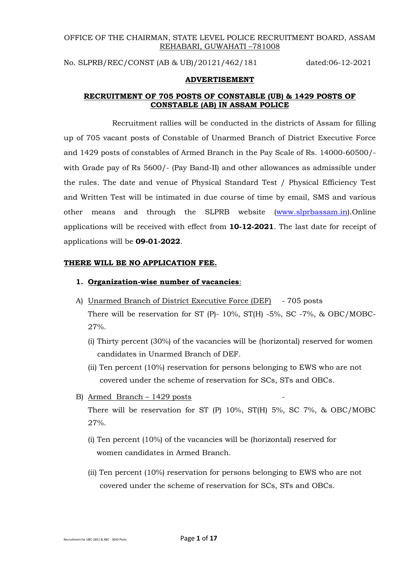# OFFICE OF THE CHAIRMAN, STATE LEVEL POLICE RECRUITMENT BOARD, ASSAM REHABARI, GUWAHATI –781008

No. SLPRB/REC/CONST (AB & UB)/20121/462/181 dated:06-12-2021

#### **ADVERTISEMENT**

## **RECRUITMENT OF 705 POSTS OF CONSTABLE (UB) & 1429 POSTS OF CONSTABLE (AB) IN ASSAM POLICE**

Recruitment rallies will be conducted in the districts of Assam for filling up of 705 vacant posts of Constable of Unarmed Branch of District Executive Force and 1429 posts of constables of Armed Branch in the Pay Scale of Rs. 14000-60500/ with Grade pay of Rs 5600/- (Pay Band-II) and other allowances as admissible under the rules. The date and venue of Physical Standard Test / Physical Efficiency Test and Written Test will be intimated in due course of time by email, SMS and various other means and through the SLPRB website [\(www.slprbassam.in\)](http://www.assampolice.gov.in/).Online applications will be received with effect from **10-12-2021**. The last date for receipt of applications will be **09-01-2022**.

### **THERE WILL BE NO APPLICATION FEE.**

## **1. Organization-wise number of vacancies**:

- A) Unarmed Branch of District Executive Force (DEF) 705 posts There will be reservation for ST (P)- 10%, ST(H) -5%, SC -7%, & OBC/MOBC-27%.
	- (i) Thirty percent (30%) of the vacancies will be (horizontal) reserved for women candidates in Unarmed Branch of DEF.
	- (ii) Ten percent (10%) reservation for persons belonging to EWS who are not covered under the scheme of reservation for SCs, STs and OBCs.
- B) Armed Branch  $1429$  posts

There will be reservation for ST (P) 10%, ST(H) 5%, SC 7%, & OBC/MOBC 27%.

- (i) Ten percent (10%) of the vacancies will be (horizontal) reserved for women candidates in Armed Branch.
- (ii) Ten percent (10%) reservation for persons belonging to EWS who are not covered under the scheme of reservation for SCs, STs and OBCs.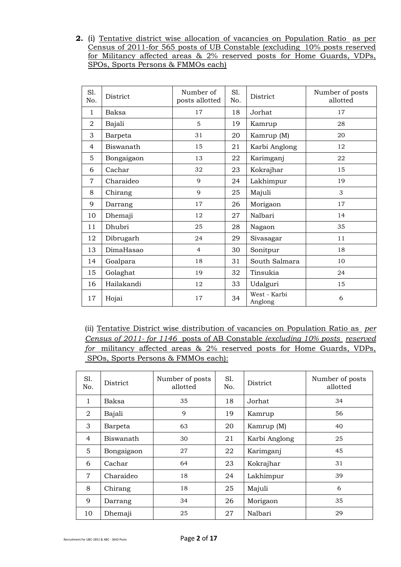**2.** (i) Tentative district wise allocation of vacancies on Population Ratio as per Census of 2011-for 565 posts of UB Constable (excluding 10% posts reserved for Militancy affected areas & 2% reserved posts for Home Guards, VDPs, SPOs, Sports Persons & FMMOs each)

| Sl.<br>No.     | District   | Number of<br>posts allotted | Sl.<br>No. | District                | Number of posts<br>allotted |
|----------------|------------|-----------------------------|------------|-------------------------|-----------------------------|
| 1              | Baksa      | 17                          | 18         | Jorhat                  | 17                          |
| 2              | Bajali     | 5                           | 19         | Kamrup                  | 28                          |
| 3              | Barpeta    | 31                          | 20         | Kamrup (M)              | 20                          |
| $\overline{4}$ | Biswanath  | 15                          | 21         | Karbi Anglong           | 12                          |
| 5              | Bongaigaon | 13                          | 22         | Karimganj               | 22                          |
| 6              | Cachar     | 32                          | 23         | Kokrajhar               | 15                          |
| $\overline{7}$ | Charaideo  | 9                           | 24         | Lakhimpur               | 19                          |
| 8              | Chirang    | 9                           | 25         | Majuli                  | 3                           |
| 9              | Darrang    | 17                          | 26         | Morigaon                | 17                          |
| 10             | Dhemaji    | 12                          | 27         | Nalbari                 | 14                          |
| 11             | Dhubri     | 25                          | 28         | Nagaon                  | 35                          |
| 12             | Dibrugarh  | 24                          | 29         | Sivasagar               | 11                          |
| 13             | DimaHasao  | $\overline{4}$              | 30         | Sonitpur                | 18                          |
| 14             | Goalpara   | 18                          | 31         | South Salmara           | 10                          |
| 15             | Golaghat   | 19                          | 32         | Tinsukia                | 24                          |
| 16             | Hailakandi | 12                          | 33         | Udalguri                | 15                          |
| 17             | Hojai      | 17                          | 34         | West - Karbi<br>Anglong | 6                           |

(ii) Tentative District wise distribution of vacancies on Population Ratio as *per Census of 2011- for 1146* posts of AB Constable *(excluding 10% posts reserved for* militancy affected areas & 2% reserved posts for Home Guards, VDPs, SPOs, Sports Persons & FMMOs each):

| S1.<br>No.     | District   | Number of posts<br>allotted | S1.<br>No. | District      | Number of posts<br>allotted |
|----------------|------------|-----------------------------|------------|---------------|-----------------------------|
| 1              | Baksa      | 35                          | 18         | Jorhat        | 34                          |
| 2              | Bajali     | 9                           | 19         | Kamrup        | 56                          |
| 3              | Barpeta    | 63                          | 20         | Kamrup (M)    | 40                          |
| $\overline{4}$ | Biswanath  | 30                          | 21         | Karbi Anglong | 25                          |
| 5              | Bongaigaon | 27                          | 22         | Karimganj     | 45                          |
| 6              | Cachar     | 64                          | 23         | Kokrajhar     | 31                          |
| $\overline{7}$ | Charaideo  | 18                          | 24         | Lakhimpur     | 39                          |
| 8              | Chirang    | 18                          | 25         | Majuli        | 6                           |
| 9              | Darrang    | 34                          | 26         | Morigaon      | 35                          |
| 10             | Dhemaji    | 25                          | 27         | Nalbari       | 29                          |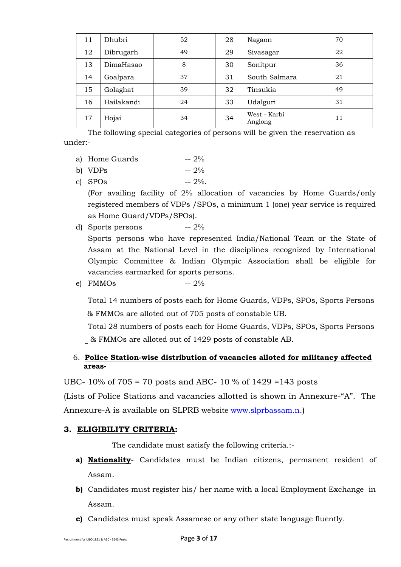| 11 | Dhubri     | 52 | 28 | Nagaon                  | 70 |
|----|------------|----|----|-------------------------|----|
| 12 | Dibrugarh  | 49 | 29 | Sivasagar               | 22 |
| 13 | DimaHasao  | 8  | 30 | Sonitpur                | 36 |
| 14 | Goalpara   | 37 | 31 | South Salmara           | 21 |
| 15 | Golaghat   | 39 | 32 | Tinsukia                | 49 |
| 16 | Hailakandi | 24 | 33 | Udalguri                | 31 |
| 17 | Hojai      | 34 | 34 | West - Karbi<br>Anglong | 11 |

The following special categories of persons will be given the reservation as under:-

- a) Home Guards  $-2\%$
- b)  $VDPs$  --  $2\%$
- c) SPOs  $-2\%$ .

(For availing facility of 2% allocation of vacancies by Home Guards/only registered members of VDPs /SPOs, a minimum 1 (one) year service is required as Home Guard/VDPs/SPOs).

- d) Sports persons -- 2% Sports persons who have represented India/National Team or the State of Assam at the National Level in the disciplines recognized by International Olympic Committee & Indian Olympic Association shall be eligible for vacancies earmarked for sports persons.
- e) FMMOs  $-2\%$

Total 14 numbers of posts each for Home Guards, VDPs, SPOs, Sports Persons & FMMOs are alloted out of 705 posts of constable UB.

Total 28 numbers of posts each for Home Guards, VDPs, SPOs, Sports Persons & FMMOs are alloted out of 1429 posts of constable AB.

# 6. **Police Station-wise distribution of vacancies alloted for militancy affected areas-**

UBC- 10% of 705 = 70 posts and ABC- 10 % of 1429 =143 posts

(Lists of Police Stations and vacancies allotted is shown in Annexure-"A". The Annexure-A is available on SLPRB website [www.slprbassam.n](http://www.slprbassam.n/).)

# **3. ELIGIBILITY CRITERIA:**

The candidate must satisfy the following criteria.:-

- **a) Nationality** Candidates must be Indian citizens, permanent resident of Assam.
- **b)** Candidates must register his/ her name with a local Employment Exchange in Assam.
- **c)** Candidates must speak Assamese or any other state language fluently.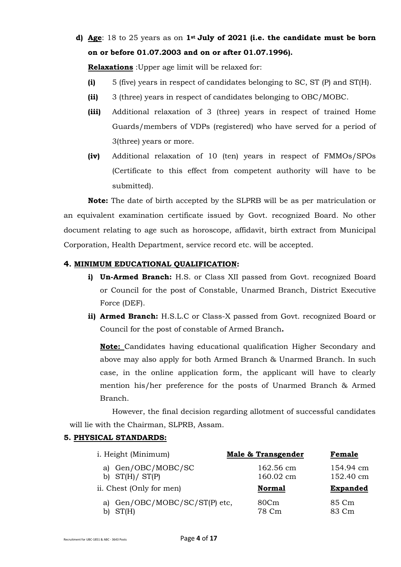**d) Age**: 18 to 25 years as on **1st July of 2021 (i.e. the candidate must be born on or before 01.07.2003 and on or after 01.07.1996).**

**Relaxations** :Upper age limit will be relaxed for:

- **(i)** 5 (five) years in respect of candidates belonging to SC, ST (P) and ST(H).
- **(ii)** 3 (three) years in respect of candidates belonging to OBC/MOBC.
- **(iii)** Additional relaxation of 3 (three) years in respect of trained Home Guards/members of VDPs (registered) who have served for a period of 3(three) years or more.
- **(iv)** Additional relaxation of 10 (ten) years in respect of FMMOs/SPOs (Certificate to this effect from competent authority will have to be submitted).

**Note:** The date of birth accepted by the SLPRB will be as per matriculation or an equivalent examination certificate issued by Govt. recognized Board. No other document relating to age such as horoscope, affidavit, birth extract from Municipal Corporation, Health Department, service record etc. will be accepted.

### **4. MINIMUM EDUCATIONAL QUALIFICATION:**

- **i) Un-Armed Branch:** H.S. or Class XII passed from Govt. recognized Board or Council for the post of Constable, Unarmed Branch, District Executive Force (DEF).
- **ii) Armed Branch:** H.S.L.C or Class-X passed from Govt. recognized Board or Council for the post of constable of Armed Branch**.**

**Note:** Candidates having educational qualification Higher Secondary and above may also apply for both Armed Branch & Unarmed Branch. In such case, in the online application form, the applicant will have to clearly mention his/her preference for the posts of Unarmed Branch & Armed Branch.

However, the final decision regarding allotment of successful candidates will lie with the Chairman, SLPRB, Assam.

# **5. PHYSICAL STANDARDS:**

| i. Height (Minimum)                    | Male & Transgender     | Female                 |
|----------------------------------------|------------------------|------------------------|
| a) Gen/OBC/MOBC/SC<br>b) $ST(H)/ST(P)$ | 162.56 cm<br>160.02 cm | 154.94 cm<br>152.40 cm |
| ii. Chest (Only for men)               | <b>Normal</b>          | <b>Expanded</b>        |
|                                        |                        |                        |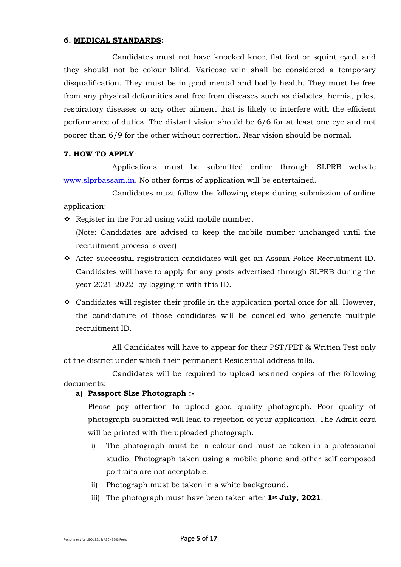#### **6. MEDICAL STANDARDS:**

Candidates must not have knocked knee, flat foot or squint eyed, and they should not be colour blind. Varicose vein shall be considered a temporary disqualification. They must be in good mental and bodily health. They must be free from any physical deformities and free from diseases such as diabetes, hernia, piles, respiratory diseases or any other ailment that is likely to interfere with the efficient performance of duties. The distant vision should be 6/6 for at least one eye and not poorer than 6/9 for the other without correction. Near vision should be normal.

### **7. HOW TO APPLY**:

Applications must be submitted online through SLPRB website [www.slprbassam.in.](http://www.assampolice.gov.in/) No other forms of application will be entertained.

Candidates must follow the following steps during submission of online application:

❖ Register in the Portal using valid mobile number.

(Note: Candidates are advised to keep the mobile number unchanged until the recruitment process is over)

- ❖ After successful registration candidates will get an Assam Police Recruitment ID. Candidates will have to apply for any posts advertised through SLPRB during the year 2021-2022 by logging in with this ID.
- $\triangleleft$  Candidates will register their profile in the application portal once for all. However, the candidature of those candidates will be cancelled who generate multiple recruitment ID.

All Candidates will have to appear for their PST/PET & Written Test only at the district under which their permanent Residential address falls.

Candidates will be required to upload scanned copies of the following documents:

# **a) Passport Size Photograph :-**

Please pay attention to upload good quality photograph. Poor quality of photograph submitted will lead to rejection of your application. The Admit card will be printed with the uploaded photograph.

- i) The photograph must be in colour and must be taken in a professional studio. Photograph taken using a mobile phone and other self composed portraits are not acceptable.
- ii) Photograph must be taken in a white background.
- iii) The photograph must have been taken after **1st July, 2021**.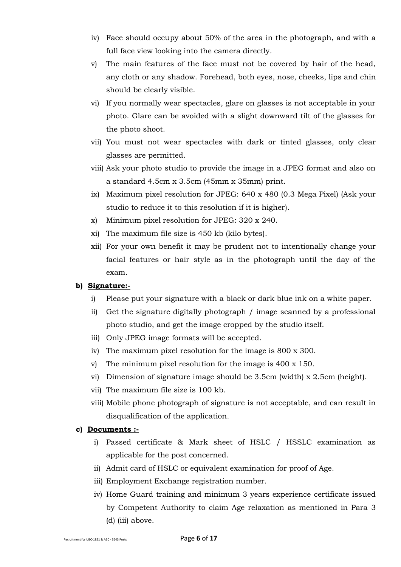- iv) Face should occupy about 50% of the area in the photograph, and with a full face view looking into the camera directly.
- v) The main features of the face must not be covered by hair of the head, any cloth or any shadow. Forehead, both eyes, nose, cheeks, lips and chin should be clearly visible.
- vi) If you normally wear spectacles, glare on glasses is not acceptable in your photo. Glare can be avoided with a slight downward tilt of the glasses for the photo shoot.
- vii) You must not wear spectacles with dark or tinted glasses, only clear glasses are permitted.
- viii) Ask your photo studio to provide the image in a JPEG format and also on a standard 4.5cm x 3.5cm (45mm x 35mm) print.
- ix) Maximum pixel resolution for JPEG: 640 x 480 (0.3 Mega Pixel) (Ask your studio to reduce it to this resolution if it is higher).
- x) Minimum pixel resolution for JPEG: 320 x 240.
- xi) The maximum file size is 450 kb (kilo bytes).
- xii) For your own benefit it may be prudent not to intentionally change your facial features or hair style as in the photograph until the day of the exam.

## **b) Signature:-**

- i) Please put your signature with a black or dark blue ink on a white paper.
- ii) Get the signature digitally photograph / image scanned by a professional photo studio, and get the image cropped by the studio itself.
- iii) Only JPEG image formats will be accepted.
- iv) The maximum pixel resolution for the image is 800 x 300.
- v) The minimum pixel resolution for the image is 400 x 150.
- vi) Dimension of signature image should be 3.5cm (width) x 2.5cm (height).
- vii) The maximum file size is 100 kb.
- viii) Mobile phone photograph of signature is not acceptable, and can result in disqualification of the application.

## **c) Documents :-**

- i) Passed certificate & Mark sheet of HSLC / HSSLC examination as applicable for the post concerned.
- ii) Admit card of HSLC or equivalent examination for proof of Age.
- iii) Employment Exchange registration number.
- iv) Home Guard training and minimum 3 years experience certificate issued by Competent Authority to claim Age relaxation as mentioned in Para 3 (d) (iii) above.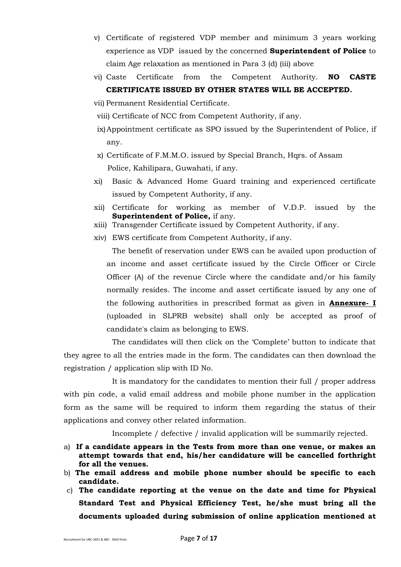- v) Certificate of registered VDP member and minimum 3 years working experience as VDP issued by the concerned **Superintendent of Police** to claim Age relaxation as mentioned in Para 3 (d) (iii) above
- vi) Caste Certificate from the Competent Authority. **NO CASTE CERTIFICATE ISSUED BY OTHER STATES WILL BE ACCEPTED.**
- vii) Permanent Residential Certificate.
- viii) Certificate of NCC from Competent Authority, if any.
- ix)Appointment certificate as SPO issued by the Superintendent of Police, if any.
- x) Certificate of F.M.M.O. issued by Special Branch, Hqrs. of Assam Police, Kahilipara, Guwahati, if any.
- xi) Basic & Advanced Home Guard training and experienced certificate issued by Competent Authority, if any.
- xii) Certificate for working as member of V.D.P. issued by the **Superintendent of Police,** if any.
- xiii) Transgender Certificate issued by Competent Authority, if any.
- xiv) EWS certificate from Competent Authority, if any.

The benefit of reservation under EWS can be availed upon production of an income and asset certificate issued by the Circle Officer or Circle Officer (A) of the revenue Circle where the candidate and/or his family normally resides. The income and asset certificate issued by any one of the following authorities in prescribed format as given in **Annexure- I** (uploaded in SLPRB website) shall only be accepted as proof of candidate's claim as belonging to EWS.

The candidates will then click on the 'Complete' button to indicate that they agree to all the entries made in the form. The candidates can then download the registration / application slip with ID No.

It is mandatory for the candidates to mention their full / proper address with pin code, a valid email address and mobile phone number in the application form as the same will be required to inform them regarding the status of their applications and convey other related information.

Incomplete / defective / invalid application will be summarily rejected.

- a) **If a candidate appears in the Tests from more than one venue, or makes an attempt towards that end, his/her candidature will be cancelled forthright for all the venues.**
- b) **The email address and mobile phone number should be specific to each candidate.**
- c) **The candidate reporting at the venue on the date and time for Physical Standard Test and Physical Efficiency Test, he/she must bring all the documents uploaded during submission of online application mentioned at**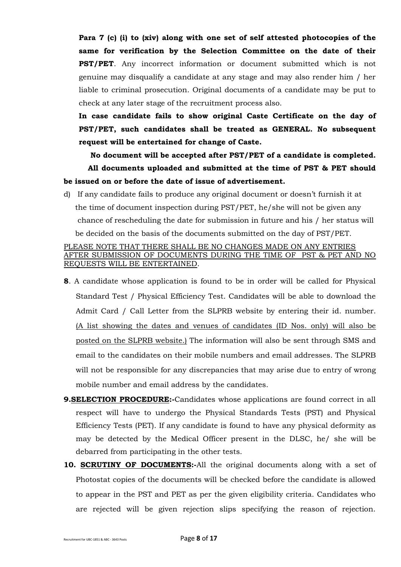**Para 7 (c) (i) to (xiv) along with one set of self attested photocopies of the same for verification by the Selection Committee on the date of their PST/PET**. Any incorrect information or document submitted which is not genuine may disqualify a candidate at any stage and may also render him / her liable to criminal prosecution. Original documents of a candidate may be put to check at any later stage of the recruitment process also.

**In case candidate fails to show original Caste Certificate on the day of PST/PET, such candidates shall be treated as GENERAL. No subsequent request will be entertained for change of Caste.**

**No document will be accepted after PST/PET of a candidate is completed. All documents uploaded and submitted at the time of PST & PET should be issued on or before the date of issue of advertisement.**

d) If any candidate fails to produce any original document or doesn't furnish it at the time of document inspection during PST/PET, he/she will not be given any chance of rescheduling the date for submission in future and his / her status will be decided on the basis of the documents submitted on the day of PST/PET.

# PLEASE NOTE THAT THERE SHALL BE NO CHANGES MADE ON ANY ENTRIES AFTER SUBMISSION OF DOCUMENTS DURING THE TIME OF PST & PET AND NO REQUESTS WILL BE ENTERTAINED.

- **8**. A candidate whose application is found to be in order will be called for Physical Standard Test / Physical Efficiency Test. Candidates will be able to download the Admit Card / Call Letter from the SLPRB website by entering their id. number. (A list showing the dates and venues of candidates (ID Nos. only) will also be posted on the SLPRB website.) The information will also be sent through SMS and email to the candidates on their mobile numbers and email addresses. The SLPRB will not be responsible for any discrepancies that may arise due to entry of wrong mobile number and email address by the candidates.
- **9.SELECTION PROCEDURE:-**Candidates whose applications are found correct in all respect will have to undergo the Physical Standards Tests (PST) and Physical Efficiency Tests (PET). If any candidate is found to have any physical deformity as may be detected by the Medical Officer present in the DLSC, he/ she will be debarred from participating in the other tests.
- **10. SCRUTINY OF DOCUMENTS:-**All the original documents along with a set of Photostat copies of the documents will be checked before the candidate is allowed to appear in the PST and PET as per the given eligibility criteria. Candidates who are rejected will be given rejection slips specifying the reason of rejection.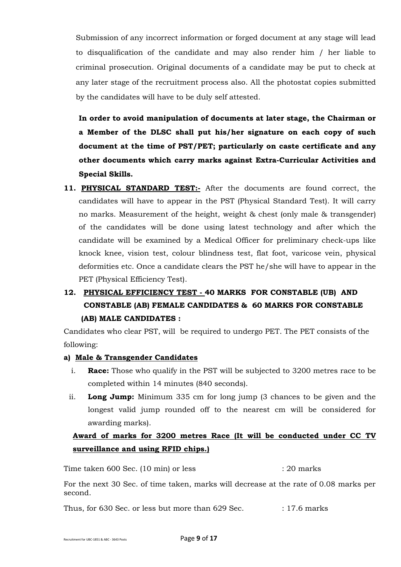Submission of any incorrect information or forged document at any stage will lead to disqualification of the candidate and may also render him / her liable to criminal prosecution. Original documents of a candidate may be put to check at any later stage of the recruitment process also. All the photostat copies submitted by the candidates will have to be duly self attested.

**In order to avoid manipulation of documents at later stage, the Chairman or a Member of the DLSC shall put his/her signature on each copy of such document at the time of PST/PET; particularly on caste certificate and any other documents which carry marks against Extra-Curricular Activities and Special Skills.**

**11. PHYSICAL STANDARD TEST:-** After the documents are found correct, the candidates will have to appear in the PST (Physical Standard Test). It will carry no marks. Measurement of the height, weight & chest (only male & transgender) of the candidates will be done using latest technology and after which the candidate will be examined by a Medical Officer for preliminary check-ups like knock knee, vision test, colour blindness test, flat foot, varicose vein, physical deformities etc. Once a candidate clears the PST he/she will have to appear in the PET (Physical Efficiency Test).

# **12. PHYSICAL EFFICIENCY TEST - 40 MARKS FOR CONSTABLE (UB) AND CONSTABLE (AB) FEMALE CANDIDATES & 60 MARKS FOR CONSTABLE (AB) MALE CANDIDATES :**

Candidates who clear PST, will be required to undergo PET. The PET consists of the following:

# **a) Male & Transgender Candidates**

- i. **Race:** Those who qualify in the PST will be subjected to 3200 metres race to be completed within 14 minutes (840 seconds).
- ii. **Long Jump:** Minimum 335 cm for long jump (3 chances to be given and the longest valid jump rounded off to the nearest cm will be considered for awarding marks).

# **Award of marks for 3200 metres Race (It will be conducted under CC TV surveillance and using RFID chips.)**

Time taken 600 Sec. (10 min) or less : 20 marks : 20 marks

For the next 30 Sec. of time taken, marks will decrease at the rate of 0.08 marks per second.

Thus, for 630 Sec. or less but more than 629 Sec. : 17.6 marks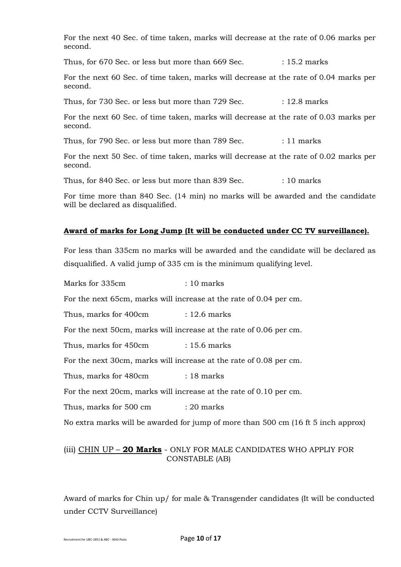For the next 40 Sec. of time taken, marks will decrease at the rate of 0.06 marks per second.

Thus, for 670 Sec. or less but more than 669 Sec. : 15.2 marks

For the next 60 Sec. of time taken, marks will decrease at the rate of 0.04 marks per second.

Thus, for 730 Sec. or less but more than  $729$  Sec.  $\qquad \qquad$  : 12.8 marks

For the next 60 Sec. of time taken, marks will decrease at the rate of 0.03 marks per second.

Thus, for 790 Sec. or less but more than 789 Sec. : 11 marks

For the next 50 Sec. of time taken, marks will decrease at the rate of 0.02 marks per second.

Thus, for 840 Sec. or less but more than 839 Sec. : 10 marks

For time more than 840 Sec. (14 min) no marks will be awarded and the candidate will be declared as disqualified.

### **Award of marks for Long Jump (It will be conducted under CC TV surveillance).**

For less than 335cm no marks will be awarded and the candidate will be declared as disqualified. A valid jump of 335 cm is the minimum qualifying level.

Marks for 335cm : 10 marks For the next 65cm, marks will increase at the rate of 0.04 per cm. Thus, marks for 400cm : 12.6 marks For the next 50cm, marks will increase at the rate of 0.06 per cm. Thus, marks for 450cm : 15.6 marks For the next 30cm, marks will increase at the rate of 0.08 per cm. Thus, marks for 480cm : 18 marks For the next 20cm, marks will increase at the rate of 0.10 per cm. Thus, marks for 500 cm : 20 marks No extra marks will be awarded for jump of more than 500 cm (16 ft 5 inch approx)

# (iii) CHIN UP – **20 Marks** - ONLY FOR MALE CANDIDATES WHO APPLIY FOR CONSTABLE (AB)

Award of marks for Chin up/ for male & Transgender candidates (It will be conducted under CCTV Surveillance)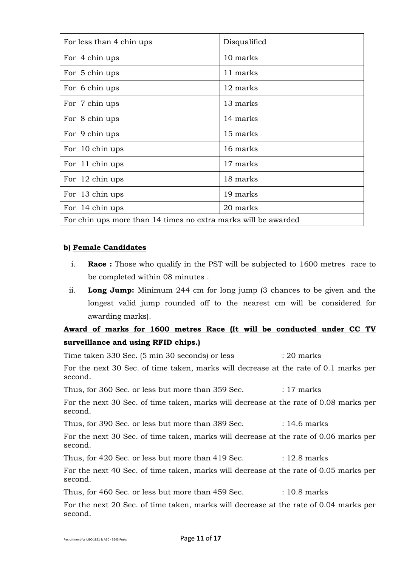| For less than 4 chin ups                                       | Disqualified |
|----------------------------------------------------------------|--------------|
| For 4 chin ups                                                 | 10 marks     |
| For 5 chin ups                                                 | 11 marks     |
| For 6 chin ups                                                 | 12 marks     |
| For 7 chin ups                                                 | 13 marks     |
| For 8 chin ups                                                 | 14 marks     |
| For 9 chin ups                                                 | 15 marks     |
| For 10 chin ups                                                | 16 marks     |
| For 11 chin ups                                                | 17 marks     |
| For 12 chin ups                                                | 18 marks     |
| For 13 chin ups                                                | 19 marks     |
| For 14 chin ups                                                | 20 marks     |
| For chin ups more than 14 times no extra marks will be awarded |              |

### **b) Female Candidates**

- i. **Race :** Those who qualify in the PST will be subjected to 1600 metres race to be completed within 08 minutes .
- ii. **Long Jump:** Minimum 244 cm for long jump (3 chances to be given and the longest valid jump rounded off to the nearest cm will be considered for awarding marks).

# **Award of marks for 1600 metres Race (It will be conducted under CC TV surveillance and using RFID chips.)**

Time taken 330 Sec. (5 min 30 seconds) or less : 20 marks For the next 30 Sec. of time taken, marks will decrease at the rate of 0.1 marks per second. Thus, for 360 Sec. or less but more than 359 Sec. : 17 marks For the next 30 Sec. of time taken, marks will decrease at the rate of 0.08 marks per second. Thus, for 390 Sec. or less but more than 389 Sec. : 14.6 marks For the next 30 Sec. of time taken, marks will decrease at the rate of 0.06 marks per second. Thus, for 420 Sec. or less but more than 419 Sec. : 12.8 marks For the next 40 Sec. of time taken, marks will decrease at the rate of 0.05 marks per second. Thus, for 460 Sec. or less but more than 459 Sec. : 10.8 marks For the next 20 Sec. of time taken, marks will decrease at the rate of 0.04 marks per

second.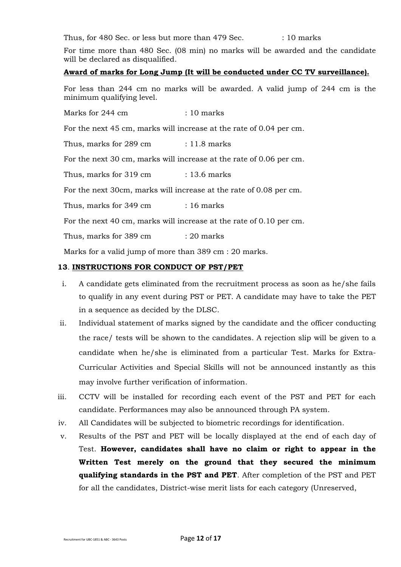Thus, for 480 Sec. or less but more than 479 Sec. : 10 marks

For time more than 480 Sec. (08 min) no marks will be awarded and the candidate will be declared as disqualified.

### **Award of marks for Long Jump (It will be conducted under CC TV surveillance).**

For less than 244 cm no marks will be awarded. A valid jump of 244 cm is the minimum qualifying level.

Marks for 244 cm : 10 marks

For the next 45 cm, marks will increase at the rate of 0.04 per cm.

Thus, marks for 289 cm : 11.8 marks

For the next 30 cm, marks will increase at the rate of 0.06 per cm.

Thus, marks for  $319 \text{ cm}$  :  $13.6 \text{ marks}$ 

For the next 30cm, marks will increase at the rate of 0.08 per cm.

Thus, marks for 349 cm : 16 marks

For the next 40 cm, marks will increase at the rate of 0.10 per cm.

Thus, marks for 389 cm : 20 marks

Marks for a valid jump of more than 389 cm : 20 marks.

### **13**. **INSTRUCTIONS FOR CONDUCT OF PST/PET**

- i. A candidate gets eliminated from the recruitment process as soon as he/she fails to qualify in any event during PST or PET. A candidate may have to take the PET in a sequence as decided by the DLSC.
- ii. Individual statement of marks signed by the candidate and the officer conducting the race/ tests will be shown to the candidates. A rejection slip will be given to a candidate when he/she is eliminated from a particular Test. Marks for Extra-Curricular Activities and Special Skills will not be announced instantly as this may involve further verification of information.
- iii. CCTV will be installed for recording each event of the PST and PET for each candidate. Performances may also be announced through PA system.
- iv. All Candidates will be subjected to biometric recordings for identification.
- v. Results of the PST and PET will be locally displayed at the end of each day of Test. **However, candidates shall have no claim or right to appear in the Written Test merely on the ground that they secured the minimum qualifying standards in the PST and PET**. After completion of the PST and PET for all the candidates, District-wise merit lists for each category (Unreserved,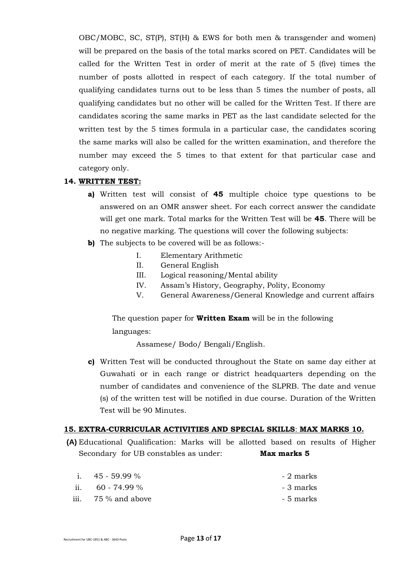OBC/MOBC, SC, ST(P), ST(H) & EWS for both men & transgender and women) will be prepared on the basis of the total marks scored on PET. Candidates will be called for the Written Test in order of merit at the rate of 5 (five) times the number of posts allotted in respect of each category. If the total number of qualifying candidates turns out to be less than 5 times the number of posts, all qualifying candidates but no other will be called for the Written Test. If there are candidates scoring the same marks in PET as the last candidate selected for the written test by the 5 times formula in a particular case, the candidates scoring the same marks will also be called for the written examination, and therefore the number may exceed the 5 times to that extent for that particular case and category only.

## **14. WRITTEN TEST:**

- **a)** Written test will consist of **45** multiple choice type questions to be answered on an OMR answer sheet. For each correct answer the candidate will get one mark. Total marks for the Written Test will be **45**. There will be no negative marking. The questions will cover the following subjects:
- **b)** The subjects to be covered will be as follows:-
	- I. Elementary Arithmetic
	- II. General English
	- III. Logical reasoning/Mental ability
	- IV. Assam's History, Geography, Polity, Economy
	- V. General Awareness/General Knowledge and current affairs

The question paper for **Written Exam** will be in the following languages:

Assamese/ Bodo/ Bengali/English.

**c)** Written Test will be conducted throughout the State on same day either at Guwahati or in each range or district headquarters depending on the number of candidates and convenience of the SLPRB. The date and venue (s) of the written test will be notified in due course. Duration of the Written Test will be 90 Minutes.

### **15. EXTRA-CURRICULAR ACTIVITIES AND SPECIAL SKILLS**: **MAX MARKS 10.**

**(A)** Educational Qualification: Marks will be allotted based on results of Higher Secondary for UB constables as under: **Max marks 5**

| i. $45 - 59.99\%$   | - 2 marks |
|---------------------|-----------|
| ii. $60 - 74.99\%$  | - 3 marks |
| iii. 75 % and above | - 5 marks |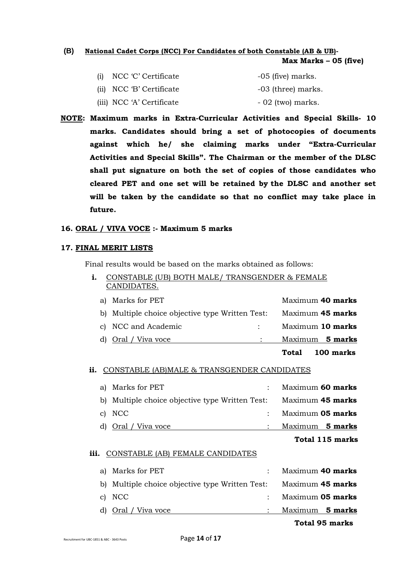### **(B) National Cadet Corps (NCC) For Candidates of both Constable (AB & UB)-**

**Max Marks – 05 (five)**

| (i) NCC 'C' Certificate   | $-05$ (five) marks. |
|---------------------------|---------------------|
| (ii) NCC 'B' Certificate  | -03 (three) marks.  |
| (iii) NCC 'A' Certificate | $-02$ (two) marks.  |

**NOTE: Maximum marks in Extra-Curricular Activities and Special Skills- 10 marks. Candidates should bring a set of photocopies of documents against which he/ she claiming marks under "Extra-Curricular Activities and Special Skills". The Chairman or the member of the DLSC shall put signature on both the set of copies of those candidates who cleared PET and one set will be retained by the DLSC and another set will be taken by the candidate so that no conflict may take place in future.**

### **16. ORAL / VIVA VOCE :- Maximum 5 marks**

#### **17. FINAL MERIT LISTS**

Final results would be based on the marks obtained as follows:

| CONSTABLE (UB) BOTH MALE/ TRANSGENDER & FEMALE  |                  |
|-------------------------------------------------|------------------|
| CANDIDATES.                                     |                  |
| a) Marks for PET                                | Maximum 40 marks |
| b) Multiple choice objective type Written Test: | Maximum 45 marks |

c) NCC and Academic : Maximum **10 marks**  d) Oral / Viva voce : Maximum **5 marks Total 100 marks**

### **ii.** CONSTABLE (AB)MALE & TRANSGENDER CANDIDATES

| Marks for PET<br>aì | Maximum 60 marks<br>$\ddot{\cdot}$                                  |
|---------------------|---------------------------------------------------------------------|
|                     | b) Multiple choice objective type Written Test:<br>Maximum 45 marks |
| <b>NCC</b><br>C)    | Maximum 05 marks<br>$\ddot{\cdot}$                                  |
| d) Oral / Viva voce | Maximum 5 marks                                                     |
|                     | Total 115 marks                                                     |
| iii.                | CONSTABLE (AB) FEMALE CANDIDATES                                    |
| Marks for PET<br>aì | Maximum 40 marks<br>$\ddot{\cdot}$                                  |
| b)                  | Maximum 45 marks<br>Multiple choice objective type Written Test:    |
| NCC.<br>C)          | Maximum 05 marks<br>$\ddot{\cdot}$                                  |
|                     |                                                                     |

d) Oral / Viva voce : Maximum **5 marks**

## **Total 95 marks**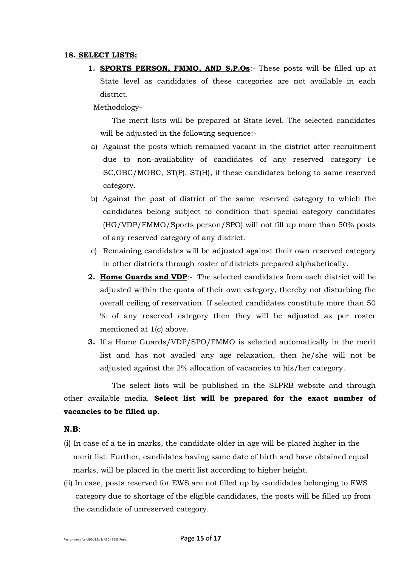#### **18. SELECT LISTS:**

**1. SPORTS PERSON, FMMO, AND S.P.Os**:- These posts will be filled up at State level as candidates of these categories are not available in each district.

#### Methodology-

The merit lists will be prepared at State level. The selected candidates will be adjusted in the following sequence:-

- a) Against the posts which remained vacant in the district after recruitment due to non-availability of candidates of any reserved category i.e SC,OBC/MOBC, ST(P), ST(H), if these candidates belong to same reserved category.
- b) Against the post of district of the same reserved category to which the candidates belong subject to condition that special category candidates (HG/VDP/FMMO/Sports person/SPO) will not fill up more than 50% posts of any reserved category of any district.
- c) Remaining candidates will be adjusted against their own reserved category in other districts through roster of districts prepared alphabetically.
- **2. Home Guards and VDP**:- The selected candidates from each district will be adjusted within the quota of their own category, thereby not disturbing the overall ceiling of reservation. If selected candidates constitute more than 50 % of any reserved category then they will be adjusted as per roster mentioned at 1(c) above.
- **3.** If a Home Guards/VDP/SPO/FMMO is selected automatically in the merit list and has not availed any age relaxation, then he/she will not be adjusted against the 2% allocation of vacancies to his/her category.

The select lists will be published in the SLPRB website and through other available media. **Select list will be prepared for the exact number of vacancies to be filled up**.

### **N.B**:

- (i) In case of a tie in marks, the candidate older in age will be placed higher in the merit list. Further, candidates having same date of birth and have obtained equal marks, will be placed in the merit list according to higher height.
- (ii) In case, posts reserved for EWS are not filled up by candidates belonging to EWS category due to shortage of the eligible candidates, the posts will be filled up from the candidate of unreserved category.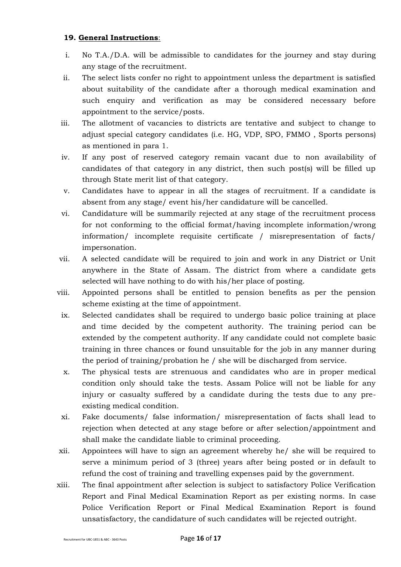# **19. General Instructions**:

- i. No T.A./D.A. will be admissible to candidates for the journey and stay during any stage of the recruitment.
- ii. The select lists confer no right to appointment unless the department is satisfied about suitability of the candidate after a thorough medical examination and such enquiry and verification as may be considered necessary before appointment to the service/posts.
- iii. The allotment of vacancies to districts are tentative and subject to change to adjust special category candidates (i.e. HG, VDP, SPO, FMMO , Sports persons) as mentioned in para 1.
- iv. If any post of reserved category remain vacant due to non availability of candidates of that category in any district, then such post(s) will be filled up through State merit list of that category.
- v. Candidates have to appear in all the stages of recruitment. If a candidate is absent from any stage/ event his/her candidature will be cancelled.
- vi. Candidature will be summarily rejected at any stage of the recruitment process for not conforming to the official format/having incomplete information/wrong information/ incomplete requisite certificate / misrepresentation of facts/ impersonation.
- vii. A selected candidate will be required to join and work in any District or Unit anywhere in the State of Assam. The district from where a candidate gets selected will have nothing to do with his/her place of posting.
- viii. Appointed persons shall be entitled to pension benefits as per the pension scheme existing at the time of appointment.
	- ix. Selected candidates shall be required to undergo basic police training at place and time decided by the competent authority. The training period can be extended by the competent authority. If any candidate could not complete basic training in three chances or found unsuitable for the job in any manner during the period of training/probation he / she will be discharged from service.
	- x. The physical tests are strenuous and candidates who are in proper medical condition only should take the tests. Assam Police will not be liable for any injury or casualty suffered by a candidate during the tests due to any preexisting medical condition.
	- xi. Fake documents/ false information/ misrepresentation of facts shall lead to rejection when detected at any stage before or after selection/appointment and shall make the candidate liable to criminal proceeding.
- xii. Appointees will have to sign an agreement whereby he/ she will be required to serve a minimum period of 3 (three) years after being posted or in default to refund the cost of training and travelling expenses paid by the government.
- xiii. The final appointment after selection is subject to satisfactory Police Verification Report and Final Medical Examination Report as per existing norms. In case Police Verification Report or Final Medical Examination Report is found unsatisfactory, the candidature of such candidates will be rejected outright.